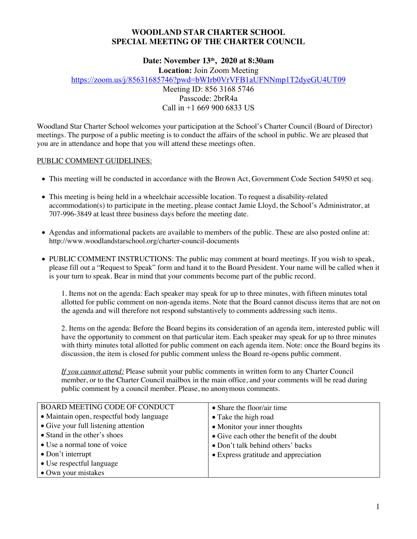## **WOODLAND STAR CHARTER SCHOOL SPECIAL MEETING OF THE CHARTER COUNCIL**

# **Date: November 13th, 2020 at 8:30am**

**Location:** Join Zoom Meeting

https://zoom.us/j/85631685746?pwd=bWIrb0VrVFB1aUFNNmp1T2dyeGU4UT09

Meeting ID: 856 3168 5746 Passcode: 2brR4a Call in +1 669 900 6833 US

Woodland Star Charter School welcomes your participation at the School's Charter Council (Board of Director) meetings. The purpose of a public meeting is to conduct the affairs of the school in public. We are pleased that you are in attendance and hope that you will attend these meetings often.

## PUBLIC COMMENT GUIDELINES:

- This meeting will be conducted in accordance with the Brown Act, Government Code Section 54950 et seq.
- This meeting is being held in a wheelchair accessible location. To request a disability-related accommodation(s) to participate in the meeting, please contact Jamie Lloyd, the School's Administrator, at 707-996-3849 at least three business days before the meeting date.
- Agendas and informational packets are available to members of the public. These are also posted online at: http://www.woodlandstarschool.org/charter-council-documents
- PUBLIC COMMENT INSTRUCTIONS: The public may comment at board meetings. If you wish to speak, please fill out a "Request to Speak" form and hand it to the Board President. Your name will be called when it is your turn to speak. Bear in mind that your comments become part of the public record.

1. Items not on the agenda: Each speaker may speak for up to three minutes, with fifteen minutes total allotted for public comment on non-agenda items. Note that the Board cannot discuss items that are not on the agenda and will therefore not respond substantively to comments addressing such items.

2. Items on the agenda: Before the Board begins its consideration of an agenda item, interested public will have the opportunity to comment on that particular item. Each speaker may speak for up to three minutes with thirty minutes total allotted for public comment on each agenda item. Note: once the Board begins its discussion, the item is closed for public comment unless the Board re-opens public comment.

*If you cannot attend:* Please submit your public comments in written form to any Charter Council member, or to the Charter Council mailbox in the main office, and your comments will be read during public comment by a council member. Please, no anonymous comments.

| <b>BOARD MEETING CODE OF CONDUCT</b>      | • Share the floor/air time                 |  |
|-------------------------------------------|--------------------------------------------|--|
| • Maintain open, respectful body language | • Take the high road                       |  |
| • Give your full listening attention      | • Monitor your inner thoughts              |  |
| • Stand in the other's shoes              | • Give each other the benefit of the doubt |  |
| • Use a normal tone of voice              | • Don't talk behind others' backs          |  |
| $\bullet$ Don't interrupt                 | • Express gratitude and appreciation       |  |
| • Use respectful language                 |                                            |  |
| • Own your mistakes                       |                                            |  |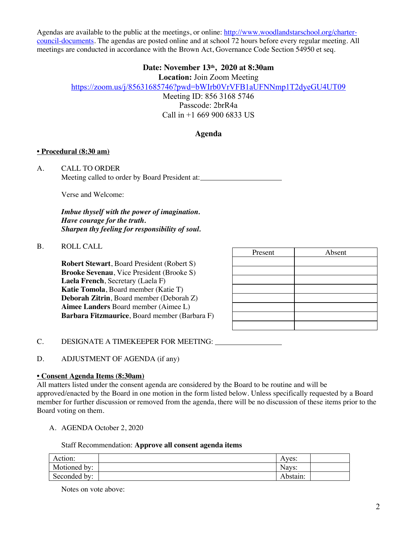Agendas are available to the public at the meetings, or online: http://www.woodlandstarschool.org/chartercouncil-documents. The agendas are posted online and at school 72 hours before every regular meeting. All meetings are conducted in accordance with the Brown Act, Governance Code Section 54950 et seq.

## **Date: November 13th, 2020 at 8:30am**

**Location:** Join Zoom Meeting

https://zoom.us/j/85631685746?pwd=bWIrb0VrVFB1aUFNNmp1T2dyeGU4UT09

Meeting ID: 856 3168 5746

Passcode: 2brR4a Call in +1 669 900 6833 US

## **Agenda**

#### **• Procedural (8:30 am)**

A. CALL TO ORDER Meeting called to order by Board President at:

Verse and Welcome:

*Imbue thyself with the power of imagination. Have courage for the truth. Sharpen thy feeling for responsibility of soul.*

#### B. ROLL CALL

**Robert Stewart**, Board President (Robert S) **Brooke Sevenau**, Vice President (Brooke S) **Laela French**, Secretary (Laela F) **Katie Tomola**, Board member (Katie T) **Deborah Zitrin**, Board member (Deborah Z) **Aimee Landers** Board member (Aimee L) **Barbara Fitzmaurice**, Board member (Barbara F)

| Present | Absent |
|---------|--------|
|         |        |
|         |        |
|         |        |
|         |        |
|         |        |
|         |        |
|         |        |
|         |        |

C. DESIGNATE A TIMEKEEPER FOR MEETING:

D. ADJUSTMENT OF AGENDA (if any)

## **• Consent Agenda Items (8:30am)**

All matters listed under the consent agenda are considered by the Board to be routine and will be approved/enacted by the Board in one motion in the form listed below. Unless specifically requested by a Board member for further discussion or removed from the agenda, there will be no discussion of these items prior to the Board voting on them.

A. AGENDA October 2, 2020

Staff Recommendation: **Approve all consent agenda items**

| Action:      | Aves:    |  |
|--------------|----------|--|
| Motioned by: | Navs:    |  |
| Seconded by: | Abstain: |  |

Notes on vote above: